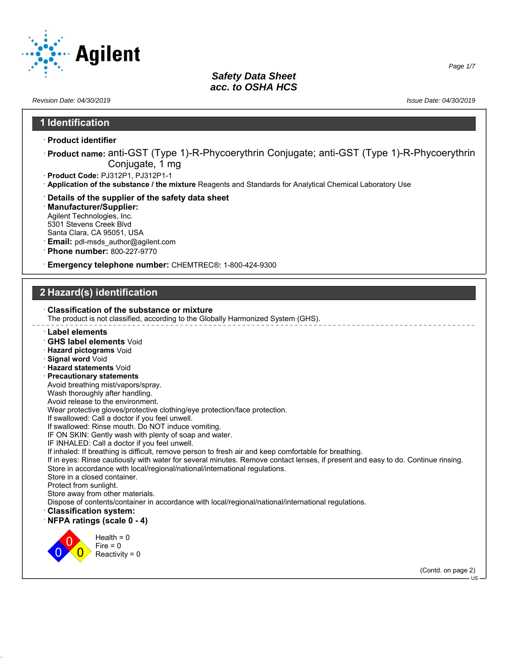

*Page 1/7*

### *Revision Date: 04/30/2019 Issue Date: 04/30/2019* **1 Identification** · **Product identifier** · **Product name:** anti-GST (Type 1)-R-Phycoerythrin Conjugate; anti-GST (Type 1)-R-Phycoerythrin Conjugate, 1 mg · **Product Code:** PJ312P1, PJ312P1-1 · **Application of the substance / the mixture** Reagents and Standards for Analytical Chemical Laboratory Use · **Details of the supplier of the safety data sheet** · **Manufacturer/Supplier:** Agilent Technologies, Inc. 5301 Stevens Creek Blvd Santa Clara, CA 95051, USA · **Email:** pdl-msds\_author@agilent.com · **Phone number:** 800-227-9770 · **Emergency telephone number:** CHEMTREC®: 1-800-424-9300 **2 Hazard(s) identification** · **Classification of the substance or mixture** The product is not classified, according to the Globally Harmonized System (GHS). · **Label elements** · **GHS label elements** Void · **Hazard pictograms** Void · **Signal word** Void · **Hazard statements** Void · **Precautionary statements** Avoid breathing mist/vapors/spray. Wash thoroughly after handling. Avoid release to the environment. Wear protective gloves/protective clothing/eye protection/face protection. If swallowed: Call a doctor if you feel unwell. If swallowed: Rinse mouth. Do NOT induce vomiting. IF ON SKIN: Gently wash with plenty of soap and water. IF INHALED: Call a doctor if you feel unwell. If inhaled: If breathing is difficult, remove person to fresh air and keep comfortable for breathing. If in eyes: Rinse cautiously with water for several minutes. Remove contact lenses, if present and easy to do. Continue rinsing. Store in accordance with local/regional/national/international regulations. Store in a closed container. Protect from sunlight. Store away from other materials. Dispose of contents/container in accordance with local/regional/national/international regulations. · **Classification system:** · **NFPA ratings (scale 0 - 4)** 0 0  $\overline{0}$  $Health = 0$  $Fire = 0$  $Reactivity = 0$ (Contd. on page 2) US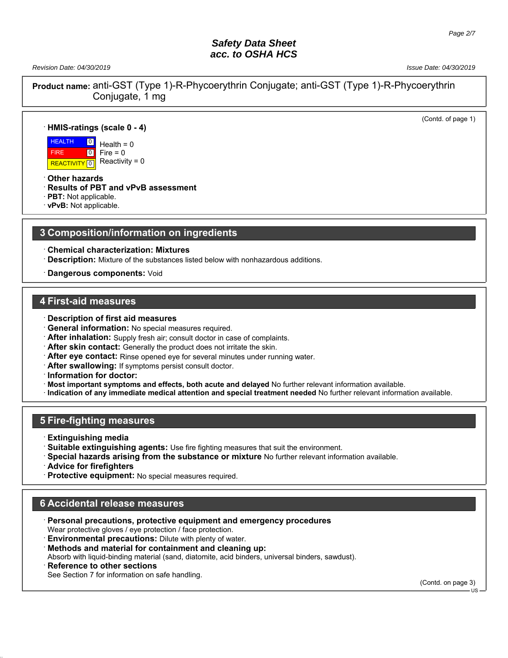*Revision Date: 04/30/2019 Issue Date: 04/30/2019*

(Contd. of page 1)

**Product name:** anti-GST (Type 1)-R-Phycoerythrin Conjugate; anti-GST (Type 1)-R-Phycoerythrin Conjugate, 1 mg

### · **HMIS-ratings (scale 0 - 4)**

 HEALTH FIRE **REACTIVITY** 0  $\overline{0}$  $\boxed{0}$  $Health = 0$  $Fire = 0$ Reactivity =  $0$ 

· **Other hazards**

· **Results of PBT and vPvB assessment**

· **PBT:** Not applicable.

· **vPvB:** Not applicable.

### **3 Composition/information on ingredients**

· **Chemical characterization: Mixtures**

- · **Description:** Mixture of the substances listed below with nonhazardous additions.
- · **Dangerous components:** Void

### **4 First-aid measures**

- · **Description of first aid measures**
- · **General information:** No special measures required.
- · **After inhalation:** Supply fresh air; consult doctor in case of complaints.
- · **After skin contact:** Generally the product does not irritate the skin.
- · **After eye contact:** Rinse opened eye for several minutes under running water.
- · **After swallowing:** If symptoms persist consult doctor.
- · **Information for doctor:**
- · **Most important symptoms and effects, both acute and delayed** No further relevant information available.
- · **Indication of any immediate medical attention and special treatment needed** No further relevant information available.

## **5 Fire-fighting measures**

- · **Extinguishing media**
- · **Suitable extinguishing agents:** Use fire fighting measures that suit the environment.
- · **Special hazards arising from the substance or mixture** No further relevant information available.
- · **Advice for firefighters**
- Protective equipment: No special measures required.

## **6 Accidental release measures**

- · **Personal precautions, protective equipment and emergency procedures** Wear protective gloves / eye protection / face protection.
- **Environmental precautions:** Dilute with plenty of water.
- · **Methods and material for containment and cleaning up:**

Absorb with liquid-binding material (sand, diatomite, acid binders, universal binders, sawdust).

**Reference to other sections** 

See Section 7 for information on safe handling.

(Contd. on page 3)

US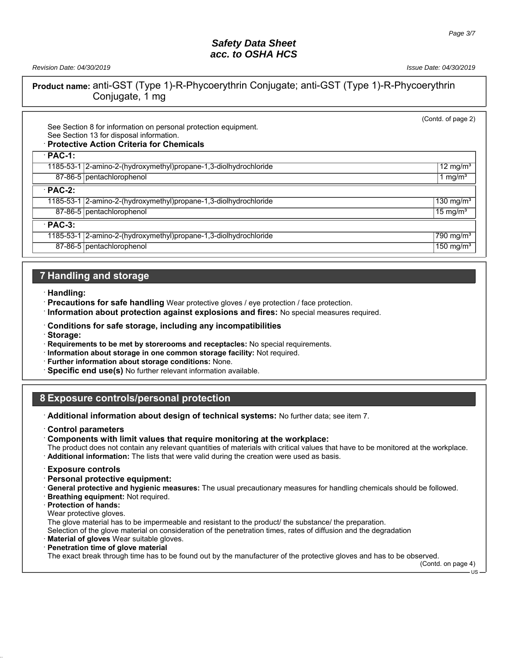*Revision Date: 04/30/2019 Issue Date: 04/30/2019*

**Product name:** anti-GST (Type 1)-R-Phycoerythrin Conjugate; anti-GST (Type 1)-R-Phycoerythrin Conjugate, 1 mg

| See Section 8 for information on personal protection equipment.<br>See Section 13 for disposal information.<br><b>Protective Action Criteria for Chemicals</b> | (Contd. of page 2)      |
|----------------------------------------------------------------------------------------------------------------------------------------------------------------|-------------------------|
| $PAC-1$ :                                                                                                                                                      |                         |
| 1185-53-1 2-amino-2-(hydroxymethyl)propane-1,3-diolhydrochloride                                                                                               | 12 mg/m $3$             |
| 87-86-5 pentachlorophenol                                                                                                                                      | 1 mg/m <sup>3</sup>     |
| $PAC-2$ :                                                                                                                                                      |                         |
| 1185-53-1 2-amino-2-(hydroxymethyl)propane-1,3-diolhydrochloride                                                                                               | 130 mg/ $m3$            |
| 87-86-5   pentachlorophenol                                                                                                                                    | 15 mg/ $m3$             |
| $PAC-3$ :                                                                                                                                                      |                         |
| 1185-53-1 2-amino-2-(hydroxymethyl) propane-1, 3-diolhydrochloride                                                                                             | 790 mg/m <sup>3</sup>   |
| 87-86-5   pentachlorophenol                                                                                                                                    | $150$ mg/m <sup>3</sup> |

# **7 Handling and storage**

· **Handling:**

· **Precautions for safe handling** Wear protective gloves / eye protection / face protection.

· **Information about protection against explosions and fires:** No special measures required.

- · **Conditions for safe storage, including any incompatibilities**
- · **Storage:**

· **Requirements to be met by storerooms and receptacles:** No special requirements.

- · **Information about storage in one common storage facility:** Not required.
- · **Further information about storage conditions:** None.
- · **Specific end use(s)** No further relevant information available.

## **8 Exposure controls/personal protection**

· **Additional information about design of technical systems:** No further data; see item 7.

· **Control parameters**

· **Components with limit values that require monitoring at the workplace:**

The product does not contain any relevant quantities of materials with critical values that have to be monitored at the workplace. · **Additional information:** The lists that were valid during the creation were used as basis.

· **Exposure controls**

· **Personal protective equipment:**

· **General protective and hygienic measures:** The usual precautionary measures for handling chemicals should be followed.

- · **Breathing equipment:** Not required.
- · **Protection of hands:**
- Wear protective gloves.

The glove material has to be impermeable and resistant to the product/ the substance/ the preparation.

Selection of the glove material on consideration of the penetration times, rates of diffusion and the degradation

· **Material of gloves** Wear suitable gloves.

#### · **Penetration time of glove material**

The exact break through time has to be found out by the manufacturer of the protective gloves and has to be observed.

(Contd. on page 4)  $\overline{18}$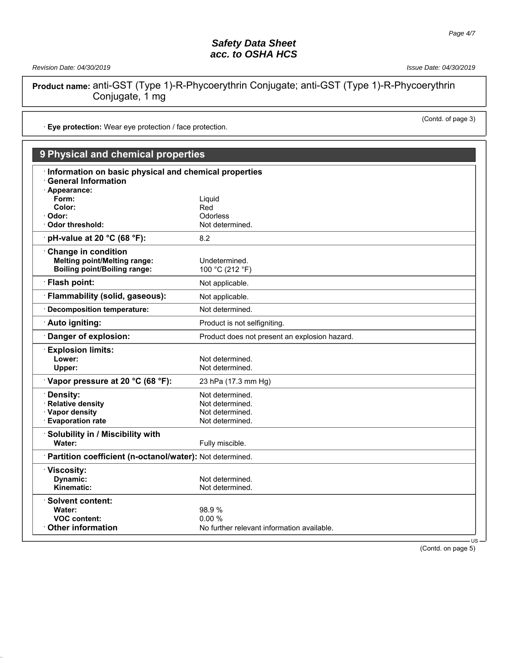*Revision Date: 04/30/2019 Issue Date: 04/30/2019*

(Contd. of page 3)

**Product name:** anti-GST (Type 1)-R-Phycoerythrin Conjugate; anti-GST (Type 1)-R-Phycoerythrin Conjugate, 1 mg

· **Eye protection:** Wear eye protection / face protection.

# **9 Physical and chemical properties**

| Information on basic physical and chemical properties    |                                               |
|----------------------------------------------------------|-----------------------------------------------|
| <b>General Information</b>                               |                                               |
| Appearance:                                              |                                               |
| Form:                                                    | Liquid                                        |
| Color:                                                   | Red                                           |
| Odor:                                                    | Odorless                                      |
| Odor threshold:                                          | Not determined.                               |
| pH-value at 20 °C (68 °F):                               | 8.2                                           |
| <b>Change in condition</b>                               |                                               |
| <b>Melting point/Melting range:</b>                      | Undetermined.                                 |
| <b>Boiling point/Boiling range:</b>                      | 100 °C (212 °F)                               |
| · Flash point:                                           | Not applicable.                               |
| Flammability (solid, gaseous):                           |                                               |
|                                                          | Not applicable.                               |
| <b>Decomposition temperature:</b>                        | Not determined.                               |
| Auto igniting:                                           | Product is not selfigniting.                  |
| Danger of explosion:                                     | Product does not present an explosion hazard. |
| <b>Explosion limits:</b>                                 |                                               |
| Lower:                                                   | Not determined.                               |
| Upper:                                                   | Not determined.                               |
| Vapor pressure at 20 °C (68 °F):                         | 23 hPa (17.3 mm Hg)                           |
| Density:                                                 | Not determined.                               |
| <b>Relative density</b>                                  | Not determined.                               |
| · Vapor density                                          | Not determined.                               |
| <b>Evaporation rate</b>                                  | Not determined.                               |
|                                                          |                                               |
| Solubility in / Miscibility with                         |                                               |
| Water:                                                   | Fully miscible.                               |
| Partition coefficient (n-octanol/water): Not determined. |                                               |
| Viscosity:                                               |                                               |
| Dynamic:                                                 | Not determined.                               |
| Kinematic:                                               | Not determined.                               |
|                                                          |                                               |
| ∴Solvent content:                                        |                                               |
| Water:                                                   | 98.9%                                         |
| <b>VOC content:</b>                                      | 0.00%                                         |
| <b>Other information</b>                                 | No further relevant information available.    |
|                                                          | <b>US</b>                                     |

(Contd. on page 5)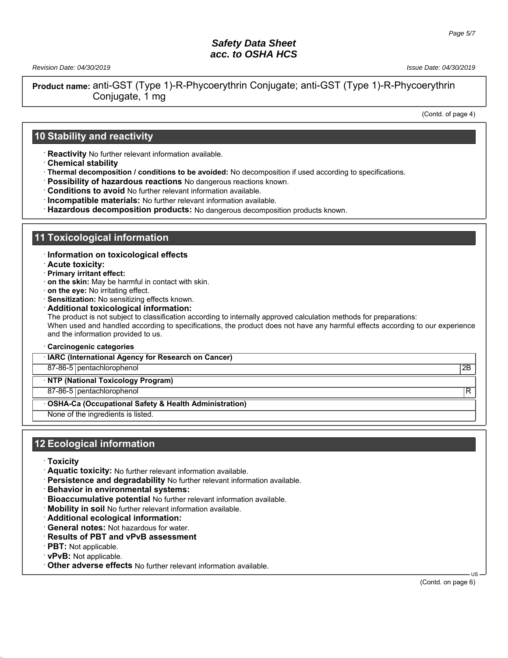*Revision Date: 04/30/2019 Issue Date: 04/30/2019*

**Product name:** anti-GST (Type 1)-R-Phycoerythrin Conjugate; anti-GST (Type 1)-R-Phycoerythrin Conjugate, 1 mg

(Contd. of page 4)

### **10 Stability and reactivity**

· **Reactivity** No further relevant information available.

- · **Chemical stability**
- · **Thermal decomposition / conditions to be avoided:** No decomposition if used according to specifications.
- · **Possibility of hazardous reactions** No dangerous reactions known.
- · **Conditions to avoid** No further relevant information available.
- · **Incompatible materials:** No further relevant information available.
- · **Hazardous decomposition products:** No dangerous decomposition products known.

### **11 Toxicological information**

- · **Information on toxicological effects**
- · **Acute toxicity:**
- · **Primary irritant effect:**
- · **on the skin:** May be harmful in contact with skin.
- · **on the eye:** No irritating effect.
- · **Sensitization:** No sensitizing effects known.
- · **Additional toxicological information:**

The product is not subject to classification according to internally approved calculation methods for preparations: When used and handled according to specifications, the product does not have any harmful effects according to our experience and the information provided to us.

· **Carcinogenic categories**

· **IARC (International Agency for Research on Cancer)**

87-86-5 pentachlorophenol 2B

· **NTP (National Toxicology Program)**

87-86-5 pentachlorophenol R

#### · **OSHA-Ca (Occupational Safety & Health Administration)**

None of the ingredients is listed.

### **12 Ecological information**

- · **Toxicity**
- · **Aquatic toxicity:** No further relevant information available.
- · **Persistence and degradability** No further relevant information available.
- · **Behavior in environmental systems:**
- · **Bioaccumulative potential** No further relevant information available.
- **Mobility in soil** No further relevant information available.
- · **Additional ecological information:**
- · **General notes:** Not hazardous for water.
- · **Results of PBT and vPvB assessment**
- · **PBT:** Not applicable.
- · **vPvB:** Not applicable.
- · **Other adverse effects** No further relevant information available.

(Contd. on page 6)

US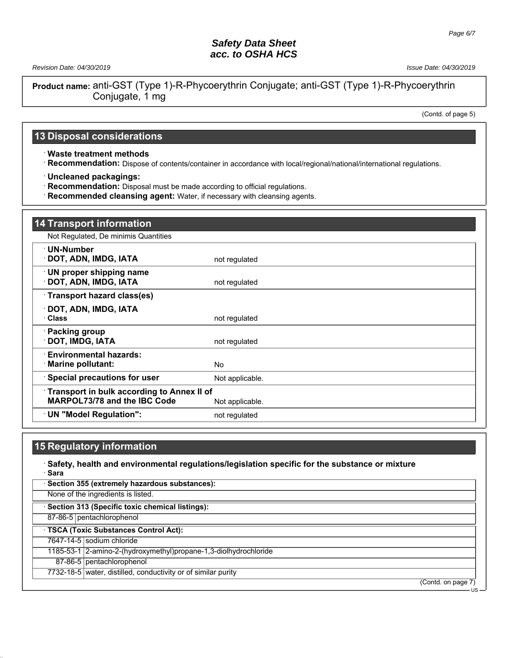*Revision Date: 04/30/2019 Issue Date: 04/30/2019*

**Product name:** anti-GST (Type 1)-R-Phycoerythrin Conjugate; anti-GST (Type 1)-R-Phycoerythrin Conjugate, 1 mg

(Contd. of page 5)

US

## **13 Disposal considerations**

· **Waste treatment methods**

· **Recommendation:** Dispose of contents/container in accordance with local/regional/national/international regulations.

· **Uncleaned packagings:**

· **Recommendation:** Disposal must be made according to official regulations.

· **Recommended cleansing agent:** Water, if necessary with cleansing agents.

| <b>14 Transport information</b>                                                          |                 |
|------------------------------------------------------------------------------------------|-----------------|
| Not Regulated, De minimis Quantities                                                     |                 |
| ∙ UN-Number<br>· DOT, ADN, IMDG, IATA                                                    | not regulated   |
| <b>UN proper shipping name</b><br><b>DOT, ADN, IMDG, IATA</b>                            | not regulated   |
| Transport hazard class(es)                                                               |                 |
| · DOT, ADN, IMDG, IATA<br>· Class                                                        | not regulated   |
| · Packing group<br>DOT, IMDG, IATA                                                       | not regulated   |
| <b>Environmental hazards:</b><br>$\cdot$ Marine pollutant:                               | <b>No</b>       |
| <b>Special precautions for user</b>                                                      | Not applicable. |
| <b>Transport in bulk according to Annex II of</b><br><b>MARPOL73/78 and the IBC Code</b> | Not applicable. |
| UN "Model Regulation":                                                                   | not regulated   |

## **15 Regulatory information**

· **Safety, health and environmental regulations/legislation specific for the substance or mixture** · **Sara** · **Section 355 (extremely hazardous substances):** None of the ingredients is listed. · **Section 313 (Specific toxic chemical listings):** 87-86-5 pentachlorophenol · **TSCA (Toxic Substances Control Act):** 7647-14-5 sodium chloride 1185-53-1 2-amino-2-(hydroxymethyl)propane-1,3-diolhydrochloride 87-86-5 pentachlorophenol 7732-18-5 water, distilled, conductivity or of similar purity (Contd. on page 7)